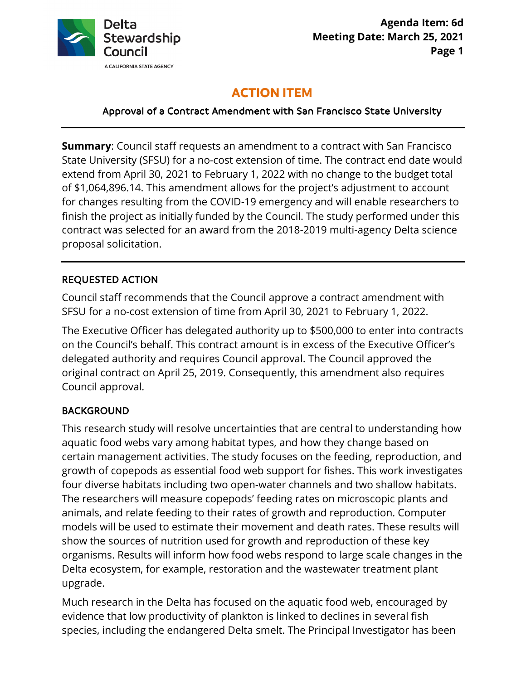

# **ACTION ITEM**

#### Approval of a Contract Amendment with San Francisco State University

 State University (SFSU) for a no-cost extension of time. The contract end date would finish the project as initially funded by the Council. The study performed under this **Summary**: Council staff requests an amendment to a contract with San Francisco extend from April 30, 2021 to February 1, 2022 with no change to the budget total of [\\$1,064,896.14](https://1,064,896.14). This amendment allows for the project's adjustment to account for changes resulting from the COVID-19 emergency and will enable researchers to contract was selected for an award from the 2018-2019 multi-agency Delta science proposal solicitation.

## REQUESTED ACTION

Council staff recommends that the Council approve a contract amendment with SFSU for a no-cost extension of time from April 30, 2021 to February 1, 2022.

 on the Council's behalf. This contract amount is in excess of the Executive Officer's original contract on April 25, 2019. Consequently, this amendment also requires The Executive Officer has delegated authority up to \$500,000 to enter into contracts delegated authority and requires Council approval. The Council approved the Council approval.

#### BACKGROUND

This research study will resolve uncertainties that are central to understanding how aquatic food webs vary among habitat types, and how they change based on certain management activities. The study focuses on the feeding, reproduction, and growth of copepods as essential food web support for fishes. This work investigates four diverse habitats including two open-water channels and two shallow habitats. The researchers will measure copepods' feeding rates on microscopic plants and animals, and relate feeding to their rates of growth and reproduction. Computer models will be used to estimate their movement and death rates. These results will show the sources of nutrition used for growth and reproduction of these key organisms. Results will inform how food webs respond to large scale changes in the Delta ecosystem, for example, restoration and the wastewater treatment plant upgrade.

 evidence that low productivity of plankton is linked to declines in several fish Much research in the Delta has focused on the aquatic food web, encouraged by species, including the endangered Delta smelt. The Principal Investigator has been